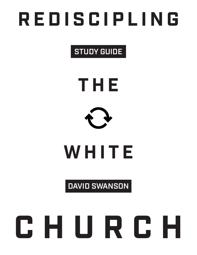# **REDISCIPLING**

## STUDY GUIDE





# **WHITE**

### DAVID SWANSON

# **CHURCH**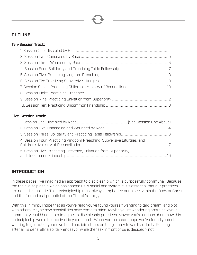#### **OUTLINE**

#### Ten-Session Track:

#### Five-Session Track:

| 4. Session Four: Practicing Kingdom Preaching, Subversive Liturgies, and |  |
|--------------------------------------------------------------------------|--|
| 5. Session Five: Practicing Presence, Salvation from Superiority,        |  |

#### **INTRODUCTION**

In these pages, I've imagined an approach to discipleship which is purposefully communal. Because the racial discipleship which has shaped us is social and systemic, it's essential that our practices are not individualistic. This rediscipleship must always emphasize our place within the Body of Christ and the formational potential of the Church's liturgy.

With this in mind, I hope that as you've read you've found yourself wanting to talk, dream, and plot with others. Maybe new possibilities have come to mind. Maybe you're wondering about how your community could begin to reimagine its discipleship practices. Maybe you're curious about how this rediscipleship would be received in your church. Whatever the case, I hope you've found yourself wanting to get out of your own head and join others on this journey toward solidarity. Reading, after all, is generally a solitary endeavor while the task in front of us is decidedly not.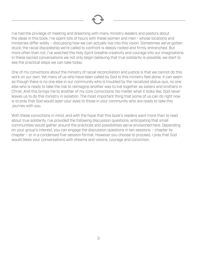

I've had the privilege of meeting and dreaming with many ministry leaders and pastors about the ideas in this book. I've spent lots of hours with these women and men - whose locations and ministries differ wildly – discussing how we can actually live into this vision. Sometimes we've gotten stuck; the racial discipleship we're called to confront is deeply rooted and firmly entrenched. But more often than not, I've watched the Holy Spirit breathe creativity and courage into our imaginations. In these sacred conversations we not only begin believing that true solidarity is possible, we start to see the practical steps we can take today.

One of my convictions about the ministry of racial reconciliation and justice is that we cannot do this work on our own. Yet many of us who have been called by God to this ministry feel alone. It can seem as though there is no one else in our community who is troubled by the racialized status quo, no one else who is ready to take the risk to reimagine another way to live together as sisters and brothers in Christ. And this brings me to another of my core convictions: No matter what it looks like, God never leaves us to do this ministry in isolation. The most important thing that some of us can do right now is to pray that God would open your eyes to those in your community who are ready to take this journey with you.

With these convictions in mind, and with the hope that this book's readers want more than to read about true solidarity, I've provided the following discussion questions, anticipating that small communities would gather around the practices and possibilities we've envisioned here. Depending on your group's interest, you can engage the discussion questions in ten sessions – chapter by chapter – or in a condensed five-session format. However you choose to proceed, I pray that God would bless your conversations with dreams and visions, courage and conviction.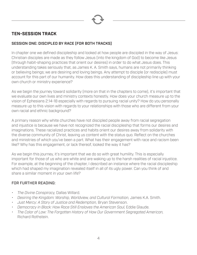

#### **TEN-SESSION TRACK**

#### SESSION ONE: DISCIPLED BY RACE [FOR BOTH TRACKS]

In chapter one we defined discipleship and looked at how people are discipled in the way of Jesus: Christian disciples are made as they follow Jesus (into the kingdom of God) to become like Jesus (through habit-shaping practices that orient our desires) in order to do what Jesus does. This understanding takes seriously that, as James K. A. Smith says, humans are not primarily thinking or believing beings; we are desiring and loving beings. Any attempt to disciple (or redisciple) must account for this part of our humanity. How does this understanding of discipleship line up with your own church or ministry experience?

As we begin the journey toward solidarity (more on that in the chapters to come), it's important that we evaluate our own lives and ministry contexts honestly. How does your church measure up to the vision of Ephesians 2:14-18 especially with regards to pursuing racial unity? How do you personally measure up to this vision with regards to your relationships with those who are different from your own racial and ethnic background?

A primary reason why white churches have not discipled people away from racial segregation and injustice is because we have not recognized the racial discipleship that forms our desires and imaginations. These racialized practices and habits orient our desires away from solidarity with the diverse community of Christ, leaving us content with the status quo. Reflect on the churches and ministries of which you've been a part. What has their engagement with race and racism been like? Why has this engagement, or lack thereof, looked the way it has?

As we begin this journey, it's important that we do so with great humility. This is especially important for those of us who are white and are waking up to the harsh realities of racial injustice. For example, at the beginning of the chapter, I described an instance where the racial discipleship which had shaped my imagination revealed itself in all of its ugly power. Can you think of and share a similar moment in your own life?

- *• The Divine Conspiracy,* Dallas Willard.
- *• Desiring the Kingdom: Worship, Worldview, and Cultural Formation,* James K.A. Smith.
- *• Just Mercy: A Story of Justice and Redemption,* Bryan Stevenson.
- *Democracy in Black: How Race Still Enslaves the American Soul, Eddie Glaude.*
- *• The Color of Law: The Forgotten History of How Our Government Segregated American,* Richard Rothstein.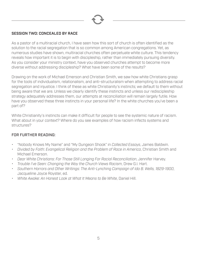

#### SESSION TWO: CONCEALED BY RACE

As a pastor of a multiracial church, I have seen how this sort of church is often identified as the solution to the racial segregation that is so common among American congregations. Yet, as numerous studies have shown, multiracial churches often perpetuate white culture. This tendency reveals how important it is to begin with discipleship, rather than immediately pursuing diversity. As you consider your ministry context, have you observed churches attempt to become more diverse without addressing discipleship? What have been some of the results?

Drawing on the work of Michael Emerson and Christian Smith, we saw how white Christians grasp for the tools of individualism, relationalism, and anti-structuralism when attempting to address racial segregation and injustice. I think of these as white Christianity's instincts; we default to them without being aware that we are. Unless we clearly identify these instincts and unless our rediscipleship strategy adequately addresses them, our attempts at reconciliation will remain largely futile. How have you observed these three instincts in your personal life? In the white churches you've been a part of?

White Christianity's instincts can make it difficult for people to see the systemic nature of racism. What about in your context? Where do you see examples of how racism infects systems and structures?

- "Nobody Knows My Name" and "My Dungeon Shook" in *Collected Essays*, James Baldwin.
- *• Divided by Faith: Evangelical Religion and the Problem of Race in America*, Christian Smith and Michael Emerson.
- *• Dear White Christians: For Those Still Longing For Racial Reconciliation*, Jennifer Harvey.
- *• Trouble I've Seen: Changing the Way the Church Views Racism*, Drew G.I. Hart.
- *• Southern Horrors and Other Writings: The Anti-Lynching Campaign of Ida B. Wells, 1829-1900*, Jacqueline Joyce Royster, ed.
- *• White Awake: An Honest Look at What It Means to Be White*, Daniel Hill.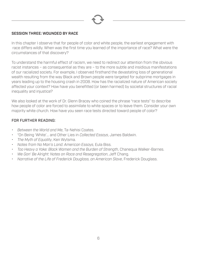

#### SESSION THREE: WOUNDED BY RACE

In this chapter I observe that for people of color and white people, the earliest engagement with race differs wildly. When was the first time you learned of the importance of race? What were the circumstances of that discovery?

To understand the harmful effect of racism, we need to redirect our attention from the obvious racist instances – as consequential as they are – to the more subtle and insidious manifestations of our racialized society. For example, I observed firsthand the devastating loss of generational wealth resulting from the way Black and Brown people were targeted for subprime mortgages in years leading up to the housing crash in 2008. How has the racialized nature of American society affected your context? How have you benefitted (or been harmed) by societal structures of racial inequality and injustice?

We also looked at the work of Dr. Glenn Bracey who coined the phrase "race tests" to describe how people of color are forced to assimilate to white spaces or to leave them. Consider your own majority white church. How have you seen race tests directed toward people of color?

- *• Between the World and Me*, Ta-Nehisi Coates.
- "On Being 'White'… and Other Lies in *Collected Essays*, James Baldwin.
- *The Myth of Equality*, Ken Wytsma.
- *Notes from No Man's Land: American Essays*, Eula Biss.
- *Too Heavy a Yoke: Black Women and the Burden of Strength*, Chanequa Walker-Barnes.
- *We Gon' Be Alright: Notes on Race and Resegregation*, Jeff Chang.
- *Narrative of the Life of Frederick Douglass, an American Slave*, Frederick Douglass.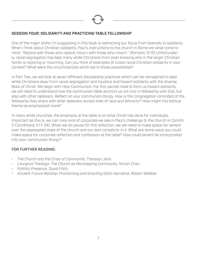

#### SESSION FOUR: SOLIDARITY AND PRACTICING TABLE FELLOWSHIP

One of the major shifts I'm suggesting in this book is redirecting our focus from diversity to solidarity. When I think about Christian solidarity, Paul's instructions to the church in Rome are what come to mind. "Rejoice with those who rejoice; mourn with those who mourn." (Romans 12:15) Unfortunately, racial segregation has kept many white Christians from even knowing who in the larger Christian family is rejoicing or mourning. Can you think of examples of cross-racial Christian solidarity in your context? What were the circumstances which led to those possibilities?

In Part Two, we will look at seven different discipleship practices which can be reimagined to lead white Christians away from racial segregation and injustice and toward solidarity with the diverse Body of Christ. We begin with Holy Communion. For this sacred meal to form us toward solidarity, we will need to understand how the communion table anchors us not only in fellowship with God, but also with other believers. Reflect on your communion liturgy. How is the congregation reminded of the fellowship they share with other believers across lines of race and ethnicity? How might this biblical theme be emphasized more?

In many white churches, the emphasis at the table is on what Christ has done for individuals. Important as this is, we can miss kind of corporate we see in Paul's challenge to the church in Corinth (1 Corinthians 11:17-34). When we do pause for this reflection, we will need to make space for lament over the segregated state of the church and our own complicity in it. What are some ways you could make space for corporate reflection and confession at the table? How could lament be incorporated into your communion liturgy?

- *The Church and the Crisis of Community*, Theresa Latini.
- *Liturgical Theology: The Church as Worshipping Community*, Simon Chan.
- *Faithful Presence*, David Fitch.
- *Ancient-Future Worship: Proclaiming and Enacting God's Narrative*, Robert Webber.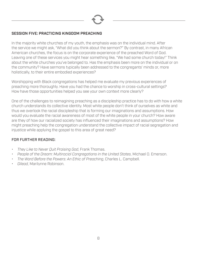

#### SESSION FIVE: PRACTICING KINGDOM PREACHING

In the majority white churches of my youth, the emphasis was on the individual mind. After the service we might ask, "What did you think about the sermon?" By contrast, in many African American churches, the focus is on the corporate experience of the preached Word of God. Leaving one of these services you might hear something like, "We had some church today!" Think about the white churches you've belonged to. Has the emphasis been more on the individual or on the community? Have sermons typically been addressed to the congregants' minds or, more holistically, to their entire embodied experiences?

Worshipping with Black congregations has helped me evaluate my previous experiences of preaching more thoroughly. Have you had the chance to worship in cross-cultural settings? How have those opportunities helped you see your own context more clearly?

One of the challenges to reimagining preaching as a discipleship practice has to do with how a white church understands its collective identity. Most white people don't think of ourselves as white and thus we overlook the racial discipleship that is forming our imaginations and assumptions. How would you evaluate the racial awareness of most of the white people in your church? How aware are they of how our racialized society has influenced their imaginations and assumptions? How might preaching help the congregation understand the collective impact of racial segregation and injustice while applying the gospel to this area of great need?

- *They Like to Never Quit Praising God*, Frank Thomas.
- *People of the Dream: Multiracial Congregations in the United States*, Michael O. Emerson.
- *The Word Before the Powers: An Ethic of Preaching*, Charles L. Campbell.
- *Gilead*, Marilynne Robinson.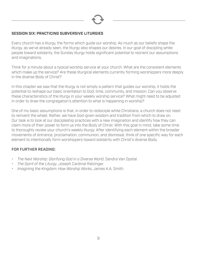

#### SESSION SIX: PRACTICING SUBVERSIVE LITURGIES

Every church has a liturgy, the forms which guide our worship. As much as our beliefs shape the liturgy, as we've already seen, the liturgy also shapes our desires. In our goal of discipling white people toward solidarity, the Sunday liturgy holds significant potential to reorient our assumptions and imaginations.

Think for a minute about a typical worship service at your church. What are the consistent elements which make up the service? Are these liturgical elements currently forming worshippers more deeply in the diverse Body of Christ?

In this chapter we saw that the liturgy is not simply a pattern that guides our worship, it holds the potential to reshape our basic orientation to God, time, community, and mission. Can you observe these characteristics of the liturgy in your weekly worship service? What might need to be adjusted in order to draw the congregation's attention to what is happening in worship?

One of my basic assumptions is that, in order to redisciple white Christians, a church does not need to reinvent the wheel. Rather, we have God-given wisdom and tradition from which to draw on. Our task is to look at our discipleship practices with a new imagination and identify how they can claim more of their power to form us into the Body of Christ. With this goal in mind, take some time to thoroughly review your church's weekly liturgy. After identifying each element within the broader movements of entrance, proclamation, communion, and dismissal, think of one specific way for each element to intentionally form worshippers toward solidarity with Christ's diverse Body.

- *The Next Worship: Glorifying God in a Diverse World*, Sandra Van Opstal.
- *The Spirit of the Liturgy*, Joseph Cardinal Ratzinger.
- *Imagining the Kingdom: How Worship Works*, James K.A. Smith.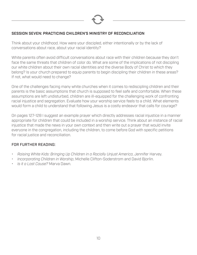

#### SESSION SEVEN: PRACTICING CHILDREN'S MINISTRY OF RECONCILIATION

Think about your childhood. How were your discipled, either intentionally or by the lack of conversations about race, about your racial identity?

White parents often avoid difficult conversations about race with their children because they don't face the same threats that children of color do. What are some of the implications of not discipling our white children about their own racial identities and the diverse Body of Christ to which they belong? Is your church prepared to equip parents to begin discipling their children in these areas? If not, what would need to change?

One of the challenges facing many white churches when it comes to rediscipling children and their parents is the basic assumptions that church is supposed to feel safe and comfortable. When these assumptions are left undisturbed, children are ill-equipped for the challenging work of confronting racial injustice and segregation. Evaluate how your worship service feels to a child. What elements would form a child to understand that following Jesus is a costly endeavor that calls for courage?

On pages 127-128 I suggest an example prayer which directly addresses racial injustice in a manner appropriate for children that could be included in a worship service. Think about an instance of racial injustice that made the news in your own context and then write out a prayer that would invite everyone in the congregation, including the children, to come before God with specific petitions for racial justice and reconciliation.

- *Raising White Kids: Bringing Up Children in a Racially Unjust America*, Jennifer Harvey.
- *Incorporating Children in Worship*, Michelle Clifton-Soderstrom and David Bjorlin.
- *Is it a Lost Cause?* Marva Dawn.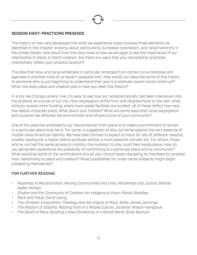

#### SESSION EIGHT: PRACTICING PRESENCE

The history of how race developed into what we experience today involves three elements we identified in this chapter: erasing Jesus' particularity, European colonialism, and racial hierarchy in the United States. One result from this toxic brew is how we struggle to see the importance of our relationship to place, to God's creation. Are there any ways that your discipleship practices intentionally reflect your physical location?

The idea that race, and racial whiteness in particular, emerged from certain circumstances and agendas is one that most of us haven't grappled with. How would you describe some of this history to someone who is just beginning to understand that race is a relatively recent social construct? What role does place and creation play in how you retell this history?

In a city like Chicago where I live, it's easy to see how our racialized society has been interwoven into the physical structures of our city. How segregation shifts from one neighborhood to the next, what schools receive more funding, where toxic waste facilities are located- all of these reflect how race has deeply impacted place. What about your context? What are some ways that racial segregation and injustice has affected the environment and infrastructure of your community?

One of the potential antidotes to our disconnection from place is to make a commitment to remain in a particular place long-term. For some, a suggestion to stay put strike against the very essence of middle-class American identity. We have been formed to expect to move for lots of different reasons: a better paying job, a higher status graduate school, a more pleasant climate, etc. For others, those who've not had the same access to mobility, the invitation to stay could feel manipulative. How do you personally experience the possibility of committing to a particular place and its community? What would be some of the ramifications should your church begin discipling its members to consider their relationship to place and creation? What possibilities for cross-racial solidarity might begin presenting themselves?

- *Roadmap to Reconciliation: Moving Communities into Unity, Wholeness and Justice*, Brenda Salter-McNeil.
- *Shalom and the Community of Creation: An Indigenous Vision*, Randy Woodley.
- Race and Place, David Leong.
- *The Christian Imagination: Theology and the Origins of Race*, Willie James Jennings.
- *The Wisdom of Stability: Rooting Faith in a Mobile Culture*, Jonathan Wilson-Hartgrove.
- *The Death of Race: Building a New Christianity in a Racial World*, Brian Bantum.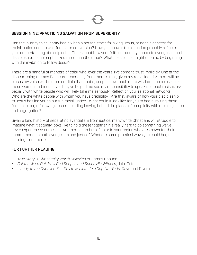

#### SESSION NINE: PRACTICING SALVATION FROM SUPERIORITY

Can the journey to solidarity begin when a person starts following Jesus, or does a concern for racial justice need to wait for a later conversion? How you answer this question probably reflects your understanding of discipleship. Think about how your faith community connects evangelism and discipleship. Is one emphasized more than the other? What possibilities might open up by beginning with the invitation to follow Jesus?

There are a handful of mentors of color who, over the years, I've come to trust implicitly. One of the disheartening themes I've heard repeatedly from them is that, given my racial identity, there will be places my voice will be more credible than theirs, despite how much more wisdom than me each of these women and men have. They've helped me see my responsibility to speak up about racism, especially with white people who will likely take me seriously. Reflect on your relational networks. Who are the white people with whom you have credibility? Are they aware of how your discipleship to Jesus has led you to pursue racial justice? What could it look like for you to begin inviting these friends to begin following Jesus, including leaving behind the places of complicity with racial injustice and segregation?

Given a long history of separating evangelism from justice, many white Christians will struggle to imagine what it actually looks like to hold these together. It's really hard to do something we've never experienced ourselves! Are there churches of color in your region who are known for their commitments to both evangelism and justice? What are some practical ways you could begin learning from them?

- *True Story: A Christianity Worth Believing In*, James Choung.
- *Get the Word Out: How God Shapes and Sends His Witness*, John Teter.
- *Liberty to the Captives: Our Call to Minister in a Captive World*, Raymond Rivera.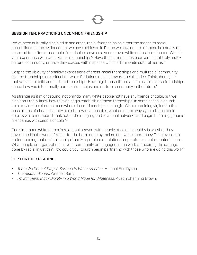

#### SESSION TEN: PRACTICING UNCOMMON FRIENDSHIP

We've been culturally discipled to see cross-racial friendships as either the means to racial reconciliation or as evidence that we have achieved it. But as we saw, neither of these is actually the case and too often cross-racial friendships serve as a veneer over white cultural dominance. What is your experience with cross-racial relationships? Have these friendships been a result of truly multicultural community, or have they existed within spaces which affirm white cultural norms?

Despite the ubiquity of shallow expressions of cross-racial friendships and multiracial community, diverse friendships are critical for white Christians moving toward racial justice. Think about your motivations to build and nurture friendships. How might these three rationales for diverse friendships shape how you intentionally pursue friendships and nurture community in the future?

As strange as it might sound, not only do many white people not have any friends of color, but we also don't really know how to even begin establishing these friendships. In some cases, a church help provide the circumstance where these friendships can begin. While remaining vigilant to the possibilities of cheap diversity and shallow relationships, what are some ways your church could help its white members break out of their segregated relational networks and begin fostering genuine friendships with people of color?

One sign that a white person's relational network with people of color is healthy is whether they have joined in the work of repair for the harm done by racism and white supremacy. This reveals an understanding that racism is not primarily a problem of relational separateness but of material harm. What people or organizations in your community are engaged in the work of repairing the damage done by racial injustice? How could your church begin partnering with those who are doing this work?

- *Tears We Cannot Stop: A Sermon to White America*, Michael Eric Dyson.
- *The Hidden Wound*, Wendell Berry.
- *I'm Still Here: Black Dignity in a World Made for Whiteness*, Austin Channing Brown.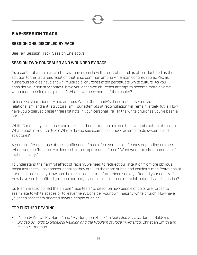

#### **FIVE-SESSION TRACK**

#### SESSION ONE: DISCIPLED BY RACE

See Ten-Session Track, Session One above.

#### SESSION TWO: CONCEALED AND WOUNDED BY RACE

As a pastor of a multiracial church, I have seen how this sort of church is often identified as the solution to the racial segregation that is so common among American congregations. Yet, as numerous studies have shown, multiracial churches often perpetuate white culture. As you consider your ministry context, have you observed churches attempt to become more diverse without addressing discipleship? What have been some of the results?

Unless we clearly identify and address White Christianity's these instincts - individualism, relationalism, and anti-structuralism - our attempts at reconciliation will remain largely futile. How have you observed these three instincts in your personal life? In the white churches you've been a part of?

White Christianity's instincts can make it difficult for people to see the systemic nature of racism. What about in your context? Where do you see examples of how racism infects systems and structures?

A person's first glimpse of the significance of race often varies significantly depending on race. When was the first time you learned of the importance of race? What were the circumstances of that discovery?

To understand the harmful effect of racism, we need to redirect our attention from the obvious racist instances – as consequential as they are – to the more subtle and insidious manifestations of our racialized society. How has the racialized nature of American society affected your context? How have you benefitted (or been harmed) by societal structures of racial inequality and injustice?

Dr. Glenn Bracey coined the phrase "race tests" to describe how people of color are forced to assimilate to white spaces or to leave them. Consider your own majority white church. How have you seen race tests directed toward people of color?

- "Nobody Knows My Name" and "My Dungeon Shook" in *Collected Essays*, James Baldwin.
- *• Divided by Faith: Evangelical Religion and the Problem of Race in America*, Christian Smith and Michael Emerson.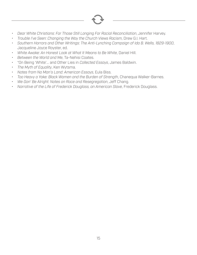- *• Dear White Christians: For Those Still Longing For Racial Reconciliation*, Jennifer Harvey.
- *• Trouble I've Seen: Changing the Way the Church Views Racism*, Drew G.I. Hart.
- *• Southern Horrors and Other Writings: The Anti-Lynching Campaign of Ida B. Wells, 1829-1900*, Jacqueline Joyce Royster, ed.
- *• White Awake: An Honest Look at What It Means to Be White*, Daniel Hill.
- *• Between the World and Me*, Ta-Nehisi Coates.
- "On Being 'White'… and Other Lies in *Collected Essays*, James Baldwin.
- *The Myth of Equality*, Ken Wytsma.
- *Notes from No Man's Land: American Essays*, Eula Biss.
- *Too Heavy a Yoke: Black Women and the Burden of Strength*, Chanequa Walker-Barnes.
- *We Gon' Be Alright: Notes on Race and Resegregation*, Jeff Chang.
- *Narrative of the Life of Frederick Douglass, an American Slave*, Frederick Douglass.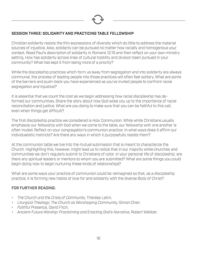

#### SESSION THREE: SOLIDARITY AND PRACTICING TABLE FELLOWSHIP

Christian solidarity resists the thin expressions of diversity which do little to address the material sources of injustice. Also, solidarity can be pursued no matter how racially and homogenous your context. Read Paul's description of solidarity in Romans 12:15 and then reflect on your own ministry setting. How has solidarity across lines of cultural hostility and division been pursued in your community? What has kept it from being more of a priority?

While the discipleship practices which form us away from segregation and into solidarity are always communal, the process of leading people into those practices will often feel solitary. What are some of the barriers and push-back you have experienced as you've invited people to confront racial segregation and injustice?

It is essential that we count the cost as we begin addressing how racial discipleship has deformed our communities. Share the story about how God woke you up to the importance of racial reconciliation and justice. What are you doing to make sure that you can be faithful to this call, even when things get difficult?

The first discipleship practice we considered is Holy Communion. While white Christians usually emphasize our fellowship with God when we come to the table, our fellowship with one another is often muted. Reflect on your congregation's communion practice. In what ways does it affirm our individualistic instincts? Are there any ways in which it purposefully resists them?

At the communion table we live into the mutual submission that is meant to characterize the Church. Highlighting this, however, might lead us to notice that in our majority white churches and communities we don't regularly submit to Christians of color. In your personal life of discipleship, are there any spiritual leaders or mentors to whom you are submitted? What are some things you could begin doing now to begin nurturing these kinds of relationships?

What are some ways your practice of communion could be reimagined so that, as a discipleship practice, it is forming new habits of love for and solidarity with the diverse Body of Christ?

- *The Church and the Crisis of Community*, Theresa Latini.
- *Liturgical Theology: The Church as Worshipping Community*, Simon Chan.
- *Faithful Presence*, David Fitch.
- *Ancient-Future Worship: Proclaiming and Enacting God's Narrative*, Robert Webber.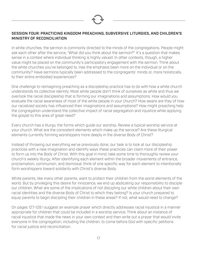

#### SESSION FOUR: PRACTICING KINGDOM PREACHING, SUBVERSIVE LITURGIES, AND CHILDREN'S MINISTRY OF RECONCILIATION

In white churches, the sermon is commonly directed to the minds of the congregations. People might ask each other after the service, "What did you think about the sermon?" It's a question that makes sense in a context where individual thinking is highly valued. In other contexts, though, a higher value might be placed on the community's participatory engagement with the sermon. Think about the white churches you've belonged to. Has the emphasis been more on the individual or on the community? Have sermons typically been addressed to the congregants' minds or, more holistically, to their entire embodied experiences?

One challenge to reimagining preaching as a discipleship practice has to do with how a white church understands its collective identity. Most white people don't think of ourselves as white and thus we overlook the racial discipleship that is forming our imaginations and assumptions. How would you evaluate the racial awareness of most of the white people in your church? How aware are they of how our racialized society has influenced their imaginations and assumptions? How might preaching help the congregation understand the collective impact of racial segregation and injustice while applying the gospel to this area of great need?

Every church has a liturgy, the forms which guide our worship. Review a typical worship service at your church. What are the consistent elements which make up the service? Are these liturgical elements currently forming worshippers more deeply in the diverse Body of Christ?

Instead of throwing out everything we've previously done, our task is to look at our discipleship practices with a new imagination and identify ways these practices can claim more of their power to form us into the Body of Christ. With this goal in mind, take some time to thoroughly review your church's weekly liturgy. After identifying each element within the broader movements of entrance, proclamation, communion, and dismissal, think of one specific way for each element to intentionally form worshippers toward solidarity with Christ's diverse Body.

White parents, like many other parents, want to protect their children from the worst elements of the world. But by privileging this desire for innocence, we end up abdicating our responsibility to disciple our children. What are some of the implications of not discipling our white children about their own racial identities and the diverse Body of Christ to which they belong? Is your church prepared to equip parents to begin discipling their children in these areas? If not, what would need to change?

On pages 127-128 I suggest an example prayer which directly addresses racial injustice in a manner appropriate for children that could be included in a worship service. Think about an instance of racial injustice that made the news in your own context and then write out a prayer that would invite everyone in the congregation, including the children, to come before God with specific petitions for racial justice and reconciliation.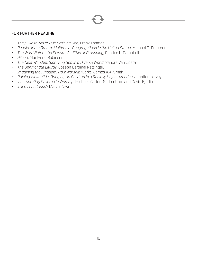

- *They Like to Never Quit Praising God*, Frank Thomas.
- *People of the Dream: Multiracial Congregations in the United States*, Michael O. Emerson.
- *The Word Before the Powers: An Ethic of Preaching*, Charles L. Campbell.
- *Gilead*, Marilynne Robinson.
- *The Next Worship: Glorifying God in a Diverse World*, Sandra Van Opstal.
- *The Spirit of the Liturgy*, Joseph Cardinal Ratzinger.
- *Imagining the Kingdom: How Worship Works*, James K.A. Smith.
- *Raising White Kids: Bringing Up Children in a Racially Unjust America*, Jennifer Harvey.
- *Incorporating Children in Worship*, Michelle Clifton-Soderstrom and David Bjorlin.
- *Is it a Lost Cause?* Marva Dawn.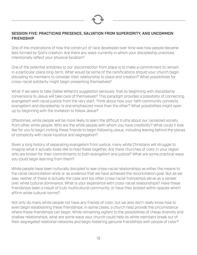

#### SESSION FIVE: PRACTICING PRESENCE, SALVATION FROM SUPERIORITY, AND UNCOMMON **FRIENDSHIP**

One of the implications of how the construct of race developed over time was how people became less formed by God's creation. Are there any ways currently in which your discipleship practices intentionally reflect your physical location?

One of the potential antidotes to our disconnection from place is to make a commitment to remain in a particular place long-term. What would be some of the ramifications should your church begin discipling its members to consider their relationship to place and creation? What possibilities for cross-racial solidarity might begin presenting themselves?

What if we were to take Dallas Willard's suggestion seriously, that by beginning with discipleship conversions to Jesus will take care of themselves? This paradigm provides a possibility of connecting evangelism with racial justice from the very start. Think about how your faith community connects evangelism and discipleship. Is one emphasized more than the other? What possibilities might open up by beginning with the invitation to follow Jesus?

Oftentimes, white people will be more likely to learn the difficult truths about our racialized society from other white people. Who are the white people with whom you have credibility? What could it look like for you to begin inviting these friends to begin following Jesus, including leaving behind the places of complicity with racial injustice and segregation?

Given a long history of separating evangelism from justice, many white Christians will struggle to imagine what it actually looks like to hold these together. Are there churches of color in your region who are known for their commitments to both evangelism and justice? What are some practical ways you could begin learning from them?

White people have been culturally discipled to see cross-racial relationships as either the means to the racial reconciliation ends or as evidence that we have achieved the reconciliation goal. But as we saw, neither of these is actually the case and too often cross-racial friendships serve as a veneer over white cultural dominance. What is your experience with cross-racial relationships? Have these friendships been a result of truly multicultural community, or have they existed within spaces which affirm white cultural norms?

Not only do many white people not have any friends of color, but we also don't really know how to even begin establishing these friendships. In some cases, a church help provide the circumstance where these friendships can begin. While remaining vigilant to the possibilities of cheap diversity and shallow relationships, what are some ways your church could help its white members break out of their segregated relational networks and begin fostering genuine friendships with people of color?